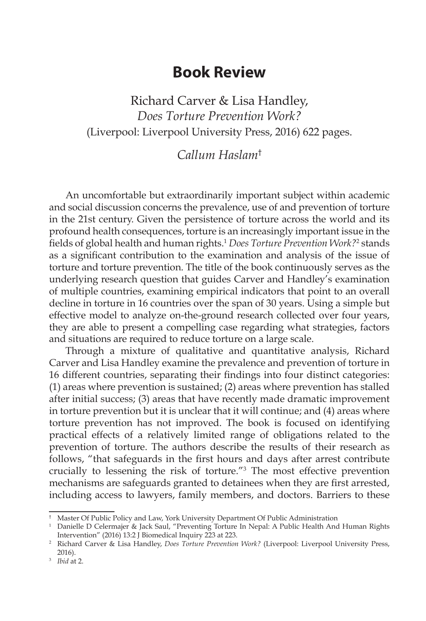## **Book Review**

Richard Carver & Lisa Handley, *Does Torture Prevention Work?* (Liverpool: Liverpool University Press, 2016) 622 pages.

## *Callum Haslam*†

An uncomfortable but extraordinarily important subject within academic and social discussion concerns the prevalence, use of and prevention of torture in the 21st century. Given the persistence of torture across the world and its profound health consequences, torture is an increasingly important issue in the fields of global health and human rights.<sup>1</sup> *Does Torture Prevention Work?*<sup>2</sup> stands as a significant contribution to the examination and analysis of the issue of torture and torture prevention. The title of the book continuously serves as the underlying research question that guides Carver and Handley's examination of multiple countries, examining empirical indicators that point to an overall decline in torture in 16 countries over the span of 30 years. Using a simple but effective model to analyze on-the-ground research collected over four years, they are able to present a compelling case regarding what strategies, factors and situations are required to reduce torture on a large scale.

Through a mixture of qualitative and quantitative analysis, Richard Carver and Lisa Handley examine the prevalence and prevention of torture in 16 different countries, separating their findings into four distinct categories: (1) areas where prevention is sustained; (2) areas where prevention has stalled after initial success; (3) areas that have recently made dramatic improvement in torture prevention but it is unclear that it will continue; and (4) areas where torture prevention has not improved. The book is focused on identifying practical effects of a relatively limited range of obligations related to the prevention of torture. The authors describe the results of their research as follows, "that safeguards in the first hours and days after arrest contribute crucially to lessening the risk of torture."3 The most effective prevention mechanisms are safeguards granted to detainees when they are first arrested, including access to lawyers, family members, and doctors. Barriers to these

<sup>&</sup>lt;sup>†</sup> Master Of Public Policy and Law, York University Department Of Public Administration 1 Danielle D Celermajer & Jack Saul, "Preventing Torture In Nepal: A Public Health And Human Rights Intervention" (2016) 13:2 J Biomedical Inquiry 223 at 223.

<sup>2</sup> Richard Carver & Lisa Handley, *Does Torture Prevention Work?* (Liverpool: Liverpool University Press, 2016).

<sup>3</sup> *Ibid* at 2.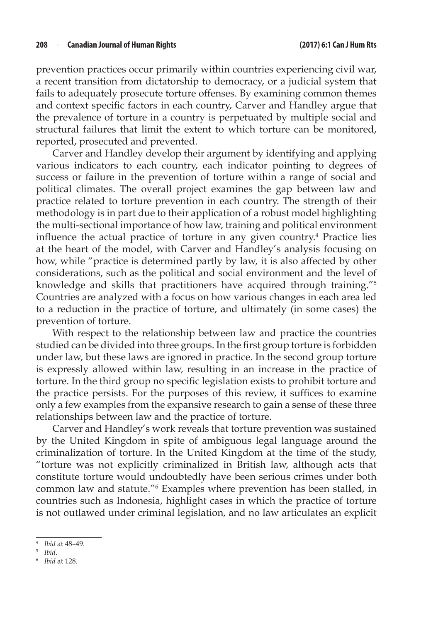prevention practices occur primarily within countries experiencing civil war, a recent transition from dictatorship to democracy, or a judicial system that fails to adequately prosecute torture offenses. By examining common themes and context specific factors in each country, Carver and Handley argue that the prevalence of torture in a country is perpetuated by multiple social and structural failures that limit the extent to which torture can be monitored, reported, prosecuted and prevented.

Carver and Handley develop their argument by identifying and applying various indicators to each country, each indicator pointing to degrees of success or failure in the prevention of torture within a range of social and political climates. The overall project examines the gap between law and practice related to torture prevention in each country. The strength of their methodology is in part due to their application of a robust model highlighting the multi-sectional importance of how law, training and political environment influence the actual practice of torture in any given country.<sup>4</sup> Practice lies at the heart of the model, with Carver and Handley's analysis focusing on how, while "practice is determined partly by law, it is also affected by other considerations, such as the political and social environment and the level of knowledge and skills that practitioners have acquired through training."5 Countries are analyzed with a focus on how various changes in each area led to a reduction in the practice of torture, and ultimately (in some cases) the prevention of torture.

With respect to the relationship between law and practice the countries studied can be divided into three groups. In the first group torture is forbidden under law, but these laws are ignored in practice. In the second group torture is expressly allowed within law, resulting in an increase in the practice of torture. In the third group no specific legislation exists to prohibit torture and the practice persists. For the purposes of this review, it suffices to examine only a few examples from the expansive research to gain a sense of these three relationships between law and the practice of torture.

Carver and Handley's work reveals that torture prevention was sustained by the United Kingdom in spite of ambiguous legal language around the criminalization of torture. In the United Kingdom at the time of the study, "torture was not explicitly criminalized in British law, although acts that constitute torture would undoubtedly have been serious crimes under both common law and statute."6 Examples where prevention has been stalled, in countries such as Indonesia, highlight cases in which the practice of torture is not outlawed under criminal legislation, and no law articulates an explicit

<sup>4</sup> *Ibid* at 48–49.

<sup>5</sup> *Ibid*.

<sup>6</sup> *Ibid* at 128.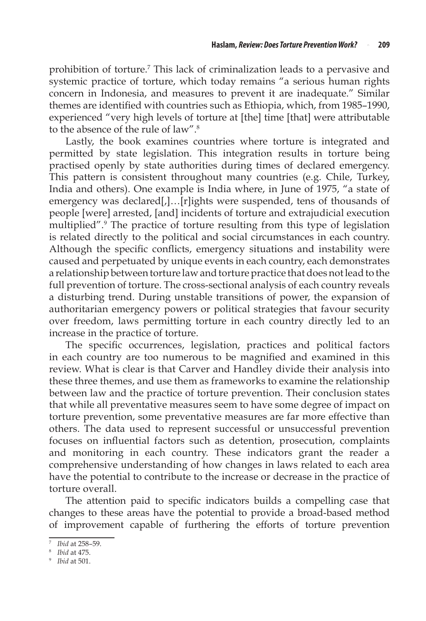prohibition of torture.<sup>7</sup> This lack of criminalization leads to a pervasive and systemic practice of torture, which today remains "a serious human rights concern in Indonesia, and measures to prevent it are inadequate." Similar themes are identified with countries such as Ethiopia, which, from 1985–1990, experienced "very high levels of torture at [the] time [that] were attributable to the absence of the rule of law".8

Lastly, the book examines countries where torture is integrated and permitted by state legislation. This integration results in torture being practised openly by state authorities during times of declared emergency. This pattern is consistent throughout many countries (e.g. Chile, Turkey, India and others). One example is India where, in June of 1975, "a state of emergency was declared[,]...[r]ights were suspended, tens of thousands of people [were] arrested, [and] incidents of torture and extrajudicial execution multiplied".9 The practice of torture resulting from this type of legislation is related directly to the political and social circumstances in each country. Although the specific conflicts, emergency situations and instability were caused and perpetuated by unique events in each country, each demonstrates a relationship between torture law and torture practice that does not lead to the full prevention of torture. The cross-sectional analysis of each country reveals a disturbing trend. During unstable transitions of power, the expansion of authoritarian emergency powers or political strategies that favour security over freedom, laws permitting torture in each country directly led to an increase in the practice of torture.

The specific occurrences, legislation, practices and political factors in each country are too numerous to be magnified and examined in this review. What is clear is that Carver and Handley divide their analysis into these three themes, and use them as frameworks to examine the relationship between law and the practice of torture prevention. Their conclusion states that while all preventative measures seem to have some degree of impact on torture prevention, some preventative measures are far more effective than others. The data used to represent successful or unsuccessful prevention focuses on influential factors such as detention, prosecution, complaints and monitoring in each country. These indicators grant the reader a comprehensive understanding of how changes in laws related to each area have the potential to contribute to the increase or decrease in the practice of torture overall.

The attention paid to specific indicators builds a compelling case that changes to these areas have the potential to provide a broad-based method of improvement capable of furthering the efforts of torture prevention

<sup>7</sup> *Ibid* at 258–59.

<sup>8</sup> *Ibid* at 475.

<sup>9</sup> *Ibid* at 501.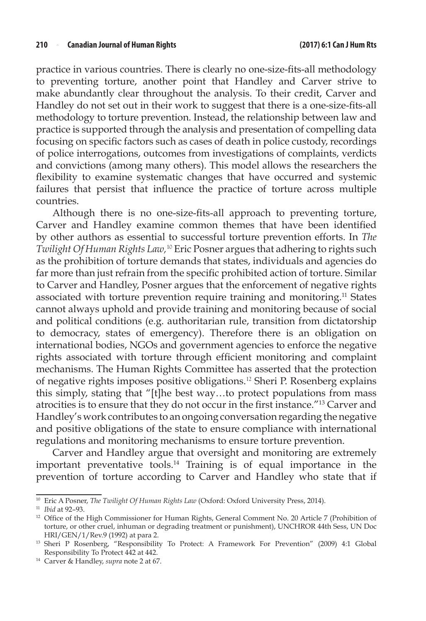practice in various countries. There is clearly no one-size-fits-all methodology to preventing torture, another point that Handley and Carver strive to make abundantly clear throughout the analysis. To their credit, Carver and Handley do not set out in their work to suggest that there is a one-size-fits-all methodology to torture prevention. Instead, the relationship between law and practice is supported through the analysis and presentation of compelling data focusing on specific factors such as cases of death in police custody, recordings of police interrogations, outcomes from investigations of complaints, verdicts and convictions (among many others). This model allows the researchers the flexibility to examine systematic changes that have occurred and systemic failures that persist that influence the practice of torture across multiple countries.

Although there is no one-size-fits-all approach to preventing torture, Carver and Handley examine common themes that have been identified by other authors as essential to successful torture prevention efforts. In *The Twilight Of Human Rights Law,*<sup>10</sup> Eric Posner argues that adhering to rights such as the prohibition of torture demands that states, individuals and agencies do far more than just refrain from the specific prohibited action of torture. Similar to Carver and Handley, Posner argues that the enforcement of negative rights associated with torture prevention require training and monitoring.11 States cannot always uphold and provide training and monitoring because of social and political conditions (e.g. authoritarian rule, transition from dictatorship to democracy, states of emergency). Therefore there is an obligation on international bodies, NGOs and government agencies to enforce the negative rights associated with torture through efficient monitoring and complaint mechanisms. The Human Rights Committee has asserted that the protection of negative rights imposes positive obligations.<sup>12</sup> Sheri P. Rosenberg explains this simply, stating that "[t]he best way…to protect populations from mass atrocities is to ensure that they do not occur in the first instance."13 Carver and Handley's work contributes to an ongoing conversation regarding the negative and positive obligations of the state to ensure compliance with international regulations and monitoring mechanisms to ensure torture prevention.

Carver and Handley argue that oversight and monitoring are extremely important preventative tools.14 Training is of equal importance in the prevention of torture according to Carver and Handley who state that if

<sup>14</sup> Carver & Handley, *supra* note 2 at 67.

<sup>10</sup> Eric A Posner, *The Twilight Of Human Rights Law* (Oxford: Oxford University Press, 2014). 11 *Ibid* at 92–93.

<sup>&</sup>lt;sup>12</sup> Office of the High Commissioner for Human Rights, General Comment No. 20 Article 7 (Prohibition of torture, or other cruel, inhuman or degrading treatment or punishment), UNCHROR 44th Sess, UN Doc HRI/GEN/1/Rev.9 (1992) at para 2.

<sup>&</sup>lt;sup>13</sup> Sheri P Rosenberg, "Responsibility To Protect: A Framework For Prevention" (2009) 4:1 Global Responsibility To Protect 442 at 442.